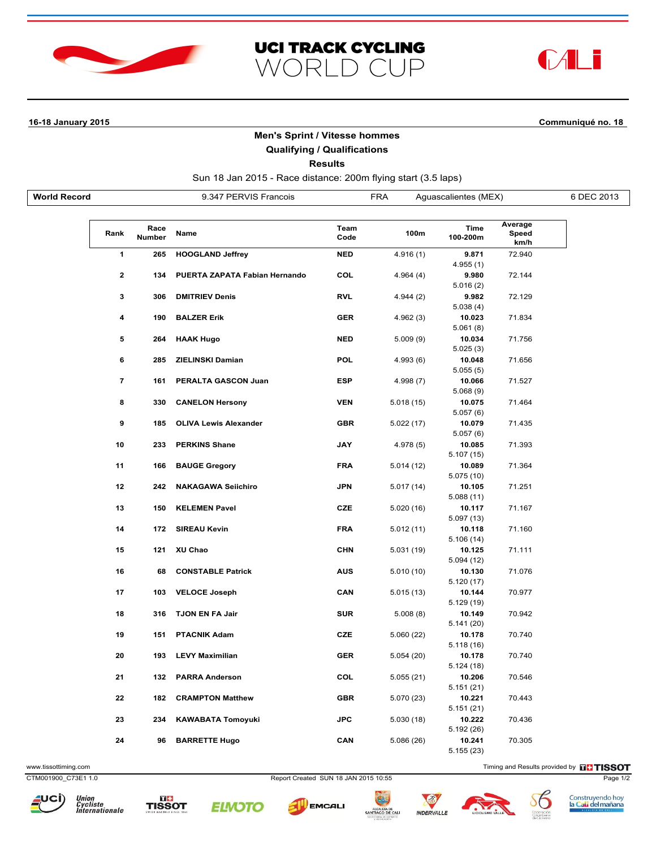





**16-18 January 2015 Communiqué no. 18**

## **Men's Sprint / Vitesse hommes**

## **Qualifying / Qualifications**

**Results**

Sun 18 Jan 2015 - Race distance: 200m flying start (3.5 laps)

**World Record** 9.347 PERVIS Francois FRA Aguascalientes (MEX) 6 DEC 2013

| <b>World Record</b> |  |
|---------------------|--|
|---------------------|--|

| Rank           | Race<br><b>Number</b> | Name                          | Team<br>Code | 100m       | Time<br>100-200m     | Average<br>Speed<br>km/h |  |
|----------------|-----------------------|-------------------------------|--------------|------------|----------------------|--------------------------|--|
| 1              | 265                   | <b>HOOGLAND Jeffrey</b>       | <b>NED</b>   | 4.916(1)   | 9.871                | 72.940                   |  |
|                |                       |                               |              |            | 4.955(1)             |                          |  |
| $\mathbf{2}$   | 134                   | PUERTA ZAPATA Fabian Hernando | COL          | 4.964(4)   | 9.980                | 72.144                   |  |
|                |                       |                               |              |            | 5.016(2)             |                          |  |
| 3              | 306                   | <b>DMITRIEV Denis</b>         | <b>RVL</b>   | 4.944(2)   | 9.982                | 72.129                   |  |
|                |                       |                               |              |            | 5.038(4)             |                          |  |
| 4              | 190                   | <b>BALZER Erik</b>            | <b>GER</b>   | 4.962(3)   | 10.023<br>5.061(8)   | 71.834                   |  |
| 5              | 264                   | <b>HAAK Hugo</b>              | <b>NED</b>   | 5.009(9)   | 10.034               | 71.756                   |  |
|                |                       |                               |              |            | 5.025(3)             |                          |  |
| 6              | 285                   | ZIELINSKI Damian              | <b>POL</b>   | 4.993(6)   | 10.048               | 71.656                   |  |
|                |                       |                               |              |            | 5.055(5)             |                          |  |
| $\overline{7}$ | 161                   | PERALTA GASCON Juan           | <b>ESP</b>   | 4.998 (7)  | 10.066               | 71.527                   |  |
|                |                       |                               |              |            | 5.068(9)             |                          |  |
| 8              | 330                   | <b>CANELON Hersony</b>        | <b>VEN</b>   | 5.018 (15) | 10.075               | 71.464                   |  |
|                |                       |                               |              |            | 5.057(6)             |                          |  |
| 9              | 185                   | <b>OLIVA Lewis Alexander</b>  | <b>GBR</b>   | 5.022 (17) | 10.079               | 71.435                   |  |
|                |                       |                               |              |            | 5.057(6)             |                          |  |
| 10             | 233                   | <b>PERKINS Shane</b>          | <b>JAY</b>   | 4.978(5)   | 10.085               | 71.393                   |  |
|                |                       |                               |              |            | 5.107(15)            |                          |  |
| 11             | 166                   | <b>BAUGE Gregory</b>          | <b>FRA</b>   | 5.014 (12) | 10.089               | 71.364                   |  |
| 12             | 242                   | <b>NAKAGAWA Selichiro</b>     | <b>JPN</b>   |            | 5.075(10)<br>10.105  | 71.251                   |  |
|                |                       |                               |              | 5.017 (14) | 5.088(11)            |                          |  |
| 13             | 150                   | <b>KELEMEN Pavel</b>          | <b>CZE</b>   | 5.020 (16) | 10.117               | 71.167                   |  |
|                |                       |                               |              |            | 5.097(13)            |                          |  |
| 14             | 172                   | <b>SIREAU Kevin</b>           | <b>FRA</b>   | 5.012(11)  | 10.118               | 71.160                   |  |
|                |                       |                               |              |            | 5.106(14)            |                          |  |
| 15             | 121                   | XU Chao                       | <b>CHN</b>   | 5.031 (19) | 10.125               | 71.111                   |  |
|                |                       |                               |              |            | 5.094(12)            |                          |  |
| 16             | 68                    | <b>CONSTABLE Patrick</b>      | <b>AUS</b>   | 5.010(10)  | 10.130               | 71.076                   |  |
|                |                       |                               |              |            | 5.120 (17)           |                          |  |
| 17             | 103                   | <b>VELOCE Joseph</b>          | <b>CAN</b>   | 5.015 (13) | 10.144               | 70.977                   |  |
|                |                       |                               |              |            | 5.129 (19)           |                          |  |
| 18             | 316                   | <b>TJON EN FA Jair</b>        | <b>SUR</b>   | 5.008(8)   | 10.149               | 70.942                   |  |
| 19             | 151                   | <b>PTACNIK Adam</b>           | <b>CZE</b>   | 5.060 (22) | 5.141 (20)<br>10.178 | 70.740                   |  |
|                |                       |                               |              |            | 5.118(16)            |                          |  |
| 20             | 193                   | <b>LEVY Maximilian</b>        | <b>GER</b>   | 5.054 (20) | 10.178               | 70.740                   |  |
|                |                       |                               |              |            | 5.124(18)            |                          |  |
| 21             | 132                   | <b>PARRA Anderson</b>         | COL          | 5.055 (21) | 10.206               | 70.546                   |  |
|                |                       |                               |              |            | 5.151(21)            |                          |  |
| 22             | 182                   | <b>CRAMPTON Matthew</b>       | <b>GBR</b>   | 5.070 (23) | 10.221               | 70.443                   |  |
|                |                       |                               |              |            | 5.151(21)            |                          |  |
| 23             | 234                   | <b>KAWABATA Tomoyuki</b>      | <b>JPC</b>   | 5.030 (18) | 10.222               | 70.436                   |  |
|                |                       |                               |              |            | 5.192(26)            |                          |  |
| 24             | 96                    | <b>BARRETTE Hugo</b>          | CAN          | 5.086(26)  | 10.241               | 70.305                   |  |
|                |                       |                               |              |            | 5.155(23)            |                          |  |

www.tissottiming.com **EXECUTE CONTENTS CONTENTS OF CONTENTS OF CONTENTS OF CONTENTS OF CONTENTS OF CONTENTS OF CONTENTS OF CONTENTS OF CONTENTS OF CONTENTS OF CONTENTS OF CONTENTS OF CONTENTS OF CONTENTS OF CONTENTS OF CON** 

CTM001900\_C73E1 1.0 Report Created SUN 18 JAN 2015 10:55 Page 1/2